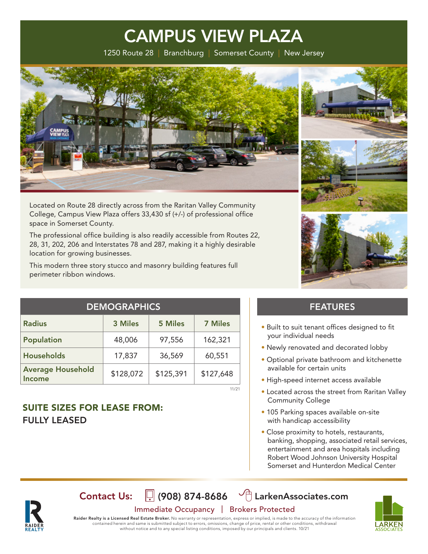1250 Route 28 | Branchburg | Somerset County | New Jersey



Located on Route 28 directly across from the Raritan Valley Community College, Campus View Plaza offers 33,430 sf (+/-) of professional office space in Somerset County.

The professional office building is also readily accessible from Routes 22, 28, 31, 202, 206 and Interstates 78 and 287, making it a highly desirable location for growing businesses.

This modern three story stucco and masonry building features full perimeter ribbon windows.





| <b>DEMOGRAPHICS</b>                |           |                |                |
|------------------------------------|-----------|----------------|----------------|
| <b>Radius</b>                      | 3 Miles   | <b>5 Miles</b> | <b>7 Miles</b> |
| Population                         | 48,006    | 97,556         | 162,321        |
| <b>Households</b>                  | 17,837    | 36,569         | 60,551         |
| <b>Average Household</b><br>Income | \$128,072 | \$125,391      | \$127,648      |

## SUITE SIZES FOR LEASE FROM: FULLY LEASED

### FEATURES

- Built to suit tenant offices designed to fit your individual needs
- Newly renovated and decorated lobby
- Optional private bathroom and kitchenette available for certain units
- High-speed internet access available
- Located across the street from Raritan Valley Community College
- 105 Parking spaces available on-site with handicap accessibility
- Close proximity to hotels, restaurants, banking, shopping, associated retail services, entertainment and area hospitals including Robert Wood Johnson University Hospital Somerset and Hunterdon Medical Center



## Immediate Occupancy | Brokers Protected Contact Us:  $\[\n\]$  (908) 874-8686  $\[\n\circled{r}\]$  LarkenAssociates.com

11/21



Raider Realty is a Licensed Real Estate Broker. No warranty or representation, express or implied, is made to the accuracy of the information contained herein and same is submitted subject to errors, omissions, change of price, rental or other conditions, withdrawal without notice and to any special listing conditions, imposed by our principals and clients. 10/21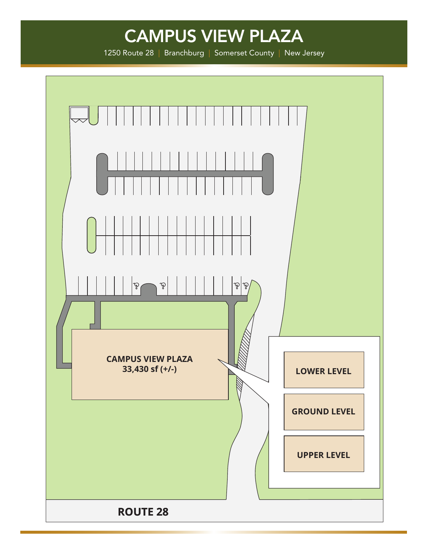1250 Route 28 | Branchburg | Somerset County | New Jersey

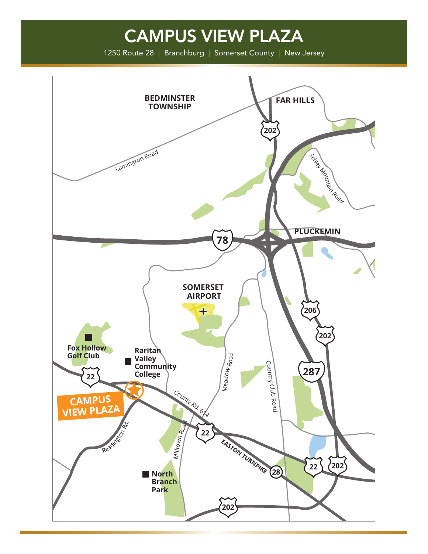1250 Route 28 | Branchburg | Somerset County | New Jersey

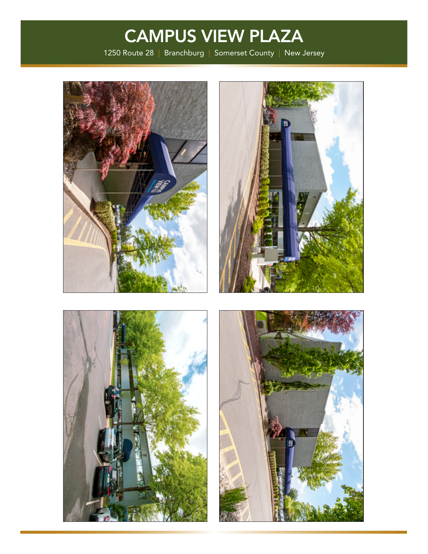1250 Route 28 | Branchburg | Somerset County | New Jersey